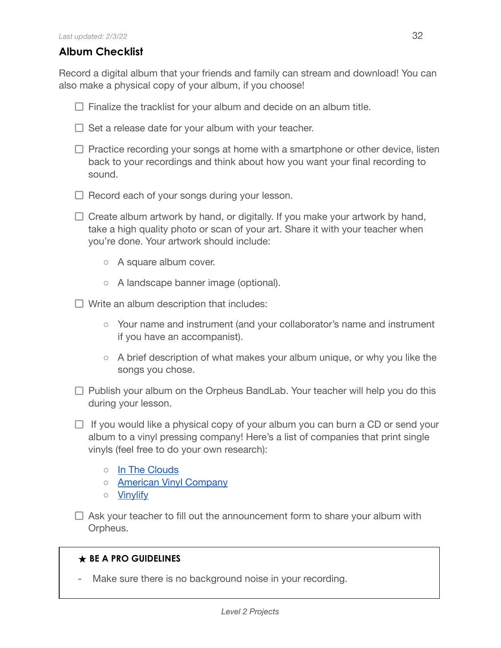## **Album Checklist**

Record a digital album that your friends and family can stream and download! You can also make a physical copy of your album, if you choose!

- $\Box$  Finalize the tracklist for your album and decide on an album title.
- $\Box$  Set a release date for your album with your teacher.
- $\Box$  Practice recording your songs at home with a smartphone or other device, listen back to your recordings and think about how you want your final recording to sound.
- $\Box$  Record each of your songs during your lesson.
- $\Box$  Create album artwork by hand, or digitally. If you make your artwork by hand, take a high quality photo or scan of your art. Share it with your teacher when you're done. Your artwork should include:
	- A square album cover.
	- A landscape banner image (optional).
- $\Box$  Write an album description that includes:
	- Your name and instrument (and your collaborator's name and instrument if you have an accompanist).
	- A brief description of what makes your album unique, or why you like the songs you chose.
- $\Box$  Publish your album on the Orpheus BandLab. Your teacher will help you do this during your lesson.
- $\Box$  If you would like a physical copy of your album you can burn a CD or send your album to a vinyl pressing company! Here's a list of companies that print single vinyls (feel free to do your own research):
	- In The [Clouds](https://intheclouds.io/collections/make-your-own-custom-vinyl-records/products/7-lathe-cut-vinyl-designer)
	- American Vinyl [Company](https://americanvinylco.com/)
	- [Vinylify](https://vinylify.com/)
- $\Box$  Ask your teacher to fill out the announcement form to share your album with Orpheus.

## **★ BE A PRO GUIDELINES**

Make sure there is no background noise in your recording.